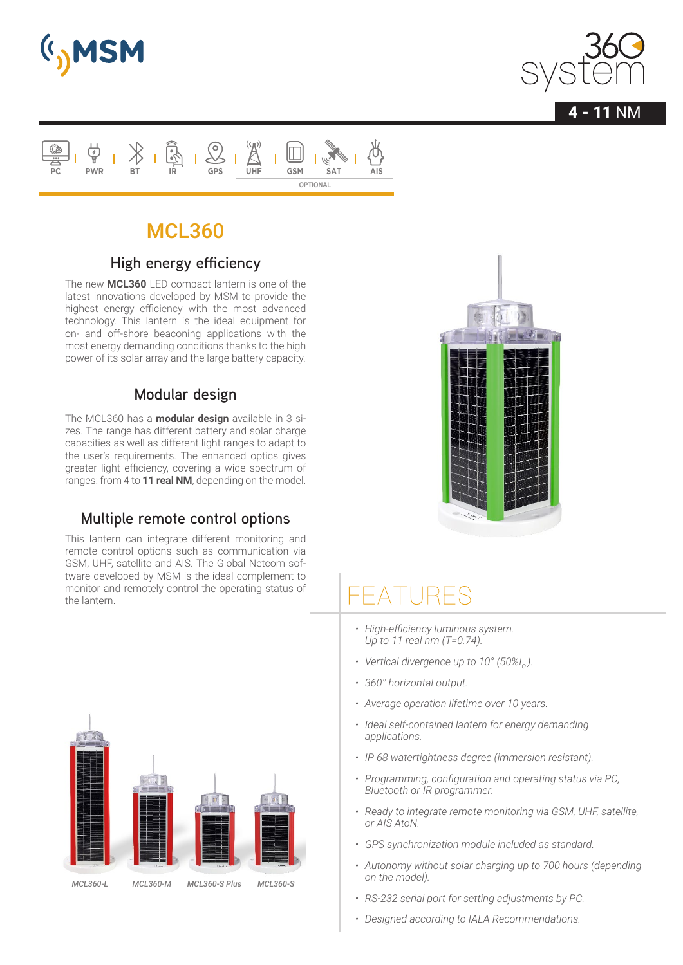







### **High energy efficiency**

The new **MCL360** LED compact lantern is one of the latest innovations developed by MSM to provide the highest energy efficiency with the most advanced technology. This lantern is the ideal equipment for on- and off-shore beaconing applications with the most energy demanding conditions thanks to the high power of its solar array and the large battery capacity.

#### **Modular design**

The MCL360 has a **modular design** available in 3 sizes. The range has different battery and solar charge capacities as well as different light ranges to adapt to the user's requirements. The enhanced optics gives greater light efficiency, covering a wide spectrum of ranges: from 4 to **11 real NM**, depending on the model.

### **Multiple remote control options**

This lantern can integrate different monitoring and remote control options such as communication via GSM, UHF, satellite and AIS. The Global Netcom software developed by MSM is the ideal complement to monitor and remotely control the operating status of the lantern.



- *• High-efficiency luminous system. Up to 11 real nm (T=0.74).*
- Vertical divergence up to 10° (50%I<sub>0</sub>).
- *• 360° horizontal output.*
- *• Average operation lifetime over 10 years.*
- *• Ideal self-contained lantern for energy demanding applications.*
- *• IP 68 watertightness degree (immersion resistant).*
- *• Programming, configuration and operating status via PC, Bluetooth or IR programmer.*
- *• Ready to integrate remote monitoring via GSM, UHF, satellite, or AIS AtoN.*
- *• GPS synchronization module included as standard.*
- *• Autonomy without solar charging up to 700 hours (depending on the model).*
- *• RS-232 serial port for setting adjustments by PC.*
- *• Designed according to IALA Recommendations.*

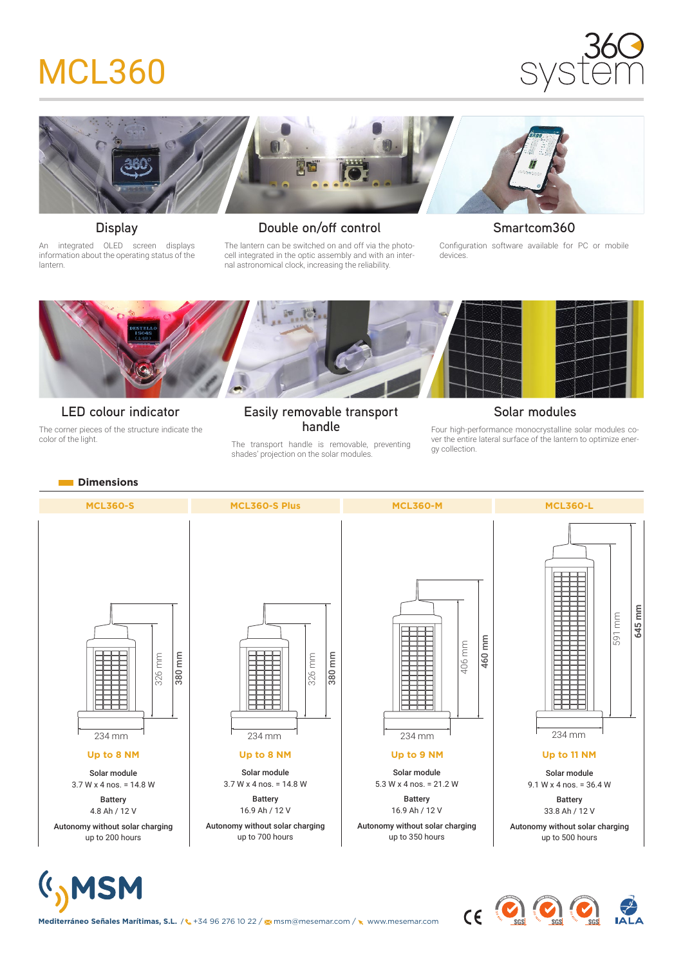



**Display**

An integrated OLED screen displays information about the operating status of the lantern.

#### **Double on/off control**

The lantern can be switched on and off via the photocell integrated in the optic assembly and with an internal astronomical clock, increasing the reliability.

#### **Smartcom360**

Configuration software available for PC or mobile devices.



#### **LED colour indicator**

The corner pieces of the structure indicate the color of the light.

#### **Easily removable transport handle**

The transport handle is removable, preventing shades' projection on the solar modules.

#### **Solar modules**

Four high-performance monocrystalline solar modules cover the entire lateral surface of the lantern to optimize energy collection.



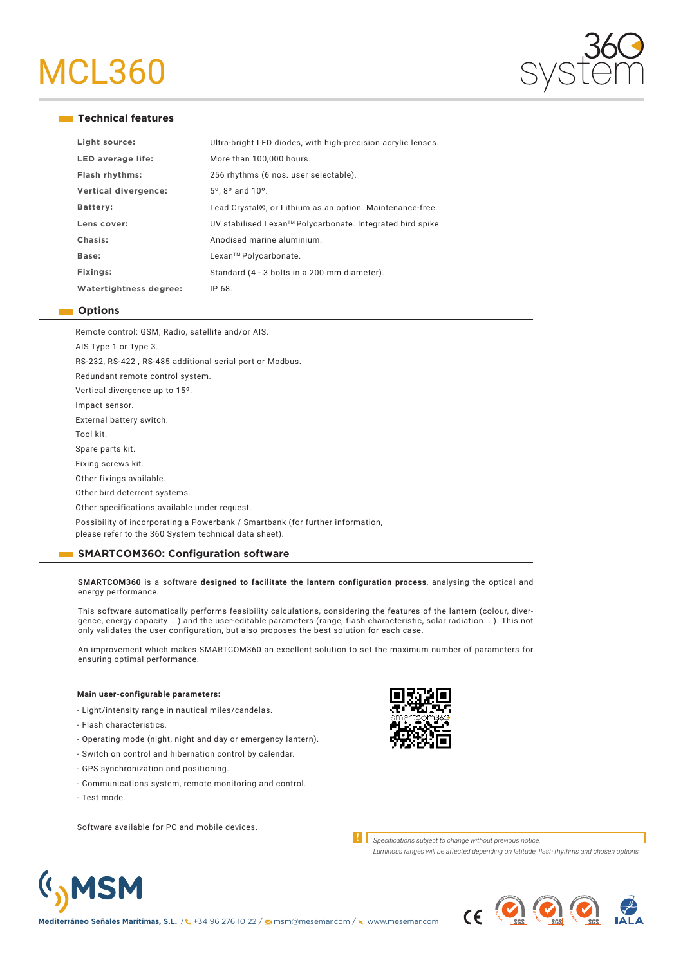

#### **Technical features**

| Light source:          | Ultra-bright LED diodes, with high-precision acrylic lenses. |
|------------------------|--------------------------------------------------------------|
| LED average life:      | More than 100,000 hours.                                     |
| Flash rhythms:         | 256 rhythms (6 nos. user selectable).                        |
| Vertical divergence:   | $5^{\circ}$ . 8 $^{\circ}$ and 10 $^{\circ}$ .               |
| Battery:               | Lead Crystal®, or Lithium as an option. Maintenance-free.    |
| Lens cover:            | UV stabilised Lexan™ Polycarbonate. Integrated bird spike.   |
| Chasis:                | Anodised marine aluminium.                                   |
| Base:                  | Lexan™ Polycarbonate.                                        |
| Fixings:               | Standard (4 - 3 bolts in a 200 mm diameter).                 |
| Watertightness degree: | IP 68.                                                       |

#### **Options**

Remote control: GSM, Radio, satellite and/or AIS.

AIS Type 1 or Type 3. RS-232, RS-422 , RS-485 additional serial port or Modbus. Redundant remote control system. Vertical divergence up to 15º. Impact sensor. External battery switch. Tool kit. Spare parts kit. Fixing screws kit. Other fixings available. Other bird deterrent systems. Other specifications available under request. Possibility of incorporating a Powerbank / Smartbank (for further information, please refer to the 360 System technical data sheet).

#### **SMARTCOM360: Configuration software**

**SMARTCOM360** is a software **designed to facilitate the lantern configuration process**, analysing the optical and energy performance.

This software automatically performs feasibility calculations, considering the features of the lantern (colour, divergence, energy capacity ...) and the user-editable parameters (range, flash characteristic, solar radiation ...). This not only validates the user configuration, but also proposes the best solution for each case.

An improvement which makes SMARTCOM360 an excellent solution to set the maximum number of parameters for ensuring optimal performance.

#### **Main user-configurable parameters:**

- Light/intensity range in nautical miles/candelas.

- Flash characteristics.
- Operating mode (night, night and day or emergency lantern).
- Switch on control and hibernation control by calendar.
- GPS synchronization and positioning.
- Communications system, remote monitoring and control.
- Test mode.

(I<sub>)</sub>MSM

Software available for PC and mobile devices.



**!** *Specifications subject to change without previous notice.*

*Luminous ranges will be affected depending on latitude, flash rhythms and chosen options.*